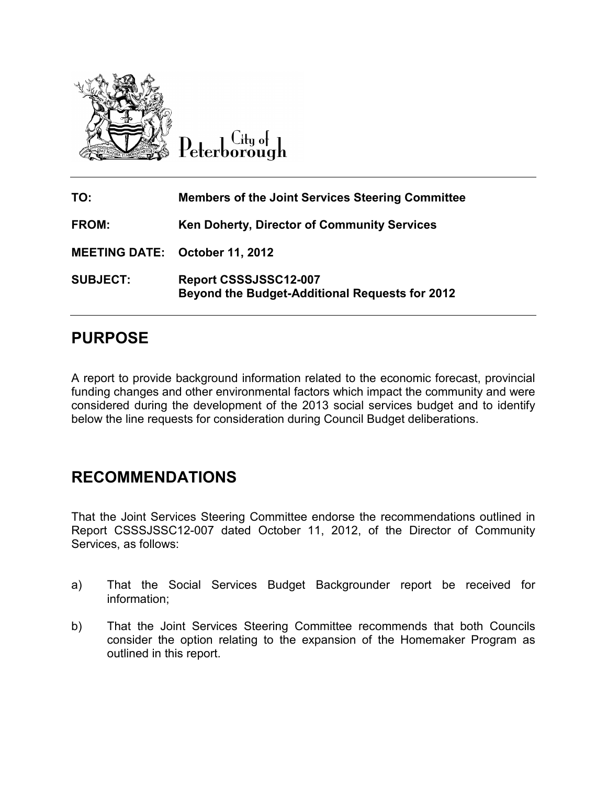

City of Peterborough

| TO:                                   | <b>Members of the Joint Services Steering Committee</b>                        |
|---------------------------------------|--------------------------------------------------------------------------------|
| <b>FROM:</b>                          | <b>Ken Doherty, Director of Community Services</b>                             |
| <b>MEETING DATE: October 11, 2012</b> |                                                                                |
| <b>SUBJECT:</b>                       | Report CSSSJSSC12-007<br><b>Beyond the Budget-Additional Requests for 2012</b> |

# **PURPOSE**

A report to provide background information related to the economic forecast, provincial funding changes and other environmental factors which impact the community and were considered during the development of the 2013 social services budget and to identify below the line requests for consideration during Council Budget deliberations.

### **RECOMMENDATIONS**

That the Joint Services Steering Committee endorse the recommendations outlined in Report CSSSJSSC12-007 dated October 11, 2012, of the Director of Community Services, as follows:

- a) That the Social Services Budget Backgrounder report be received for information;
- b) That the Joint Services Steering Committee recommends that both Councils consider the option relating to the expansion of the Homemaker Program as outlined in this report.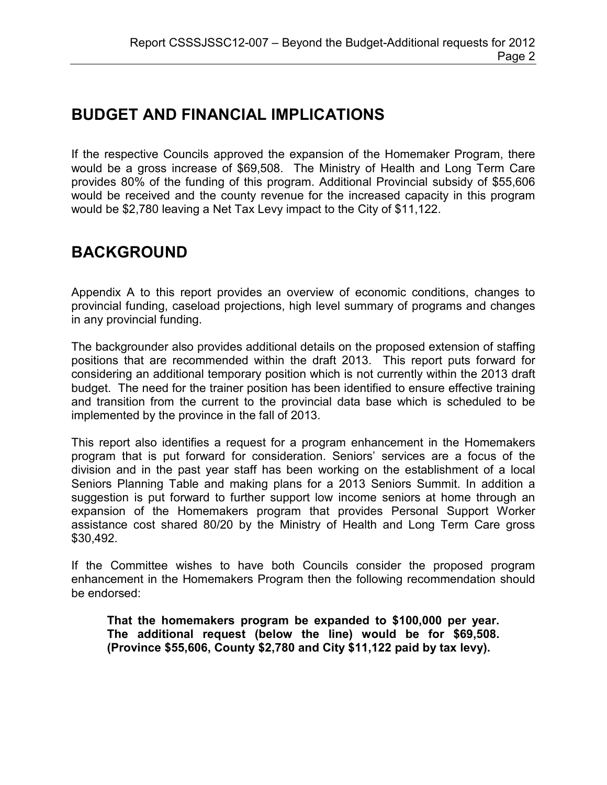# **BUDGET AND FINANCIAL IMPLICATIONS**

If the respective Councils approved the expansion of the Homemaker Program, there would be a gross increase of \$69,508. The Ministry of Health and Long Term Care provides 80% of the funding of this program. Additional Provincial subsidy of \$55,606 would be received and the county revenue for the increased capacity in this program would be \$2,780 leaving a Net Tax Levy impact to the City of \$11,122.

# **BACKGROUND**

Appendix A to this report provides an overview of economic conditions, changes to provincial funding, caseload projections, high level summary of programs and changes in any provincial funding.

The backgrounder also provides additional details on the proposed extension of staffing positions that are recommended within the draft 2013. This report puts forward for considering an additional temporary position which is not currently within the 2013 draft budget. The need for the trainer position has been identified to ensure effective training and transition from the current to the provincial data base which is scheduled to be implemented by the province in the fall of 2013.

This report also identifies a request for a program enhancement in the Homemakers program that is put forward for consideration. Seniors' services are a focus of the division and in the past year staff has been working on the establishment of a local Seniors Planning Table and making plans for a 2013 Seniors Summit. In addition a suggestion is put forward to further support low income seniors at home through an expansion of the Homemakers program that provides Personal Support Worker assistance cost shared 80/20 by the Ministry of Health and Long Term Care gross \$30,492.

If the Committee wishes to have both Councils consider the proposed program enhancement in the Homemakers Program then the following recommendation should be endorsed:

**That the homemakers program be expanded to \$100,000 per year. The additional request (below the line) would be for \$69,508. (Province \$55,606, County \$2,780 and City \$11,122 paid by tax levy).**